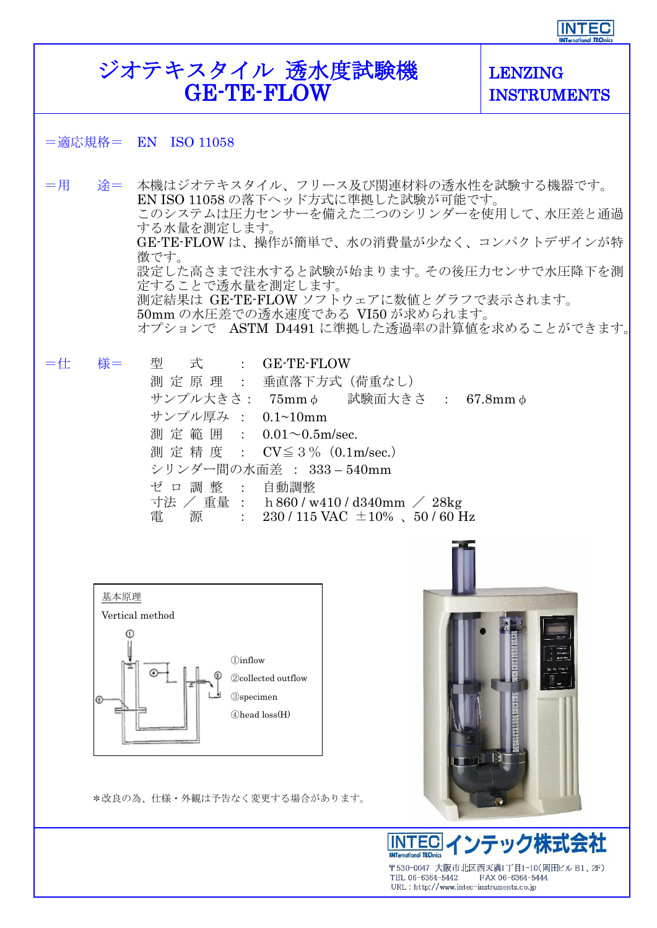## **INTEC**

## ジオテキスタイル 透水度試験機 LENZING GE-TE-FLOW INSTRUMENTS =適応規格= EN ISO 11058 =用 途= 本機はジオテキスタイル、フリース及び関連材料の透水性を試験する機器です。 EN ISO 11058 の落下ヘッド方式に準拠した試験が可能です。 このシステムは圧力センサーを備えた二つのシリンダーを使用して、水圧差と通過 する水量を測定します。 GE-TE-FLOW は、操作が簡単で、水の消費量が少なく、コンパクトデザインが特 徴です。 設定した高さまで注水すると試験が始まります。その後圧力センサで水圧降下を測 定することで透水量を測定します。 測定結果は GE-TE-FLOW ソフトウェアに数値とグラフで表示されます。 50mm の水圧差での透水速度である VI50 が求められます。 オプションで ASTM D4491 に準拠した透過率の計算値を求めることができます。 =仕 様= 型 式 : GE-TE-FLOW 測 定 原 理 : 垂直落下方式(荷重なし) サンプル大きさ: 75mmφ 試験面大きさ : 67.8mmφ サンプル厚み : 0.1~10mm 測 定 範 囲 : 0.01~0.5m/sec. 測 定 精 度 : CV≦3%(0.1m/sec.) シリンダー間の水面差 : 333 – 540mm ゼ ロ 調 整 : 自動調整 寸法 / 重量 : h860 / w410 / d340mm / 28kg 電 源 :  $230/115$  VAC  $\pm 10\%$  、50/60 Hz 基本原理Vertical method  $\odot$ ①inflow ②collected outflow ③specimen  $\circ$ ④head loss(H)

\*改良の為、仕様・外観は予告なく変更する場合があります。